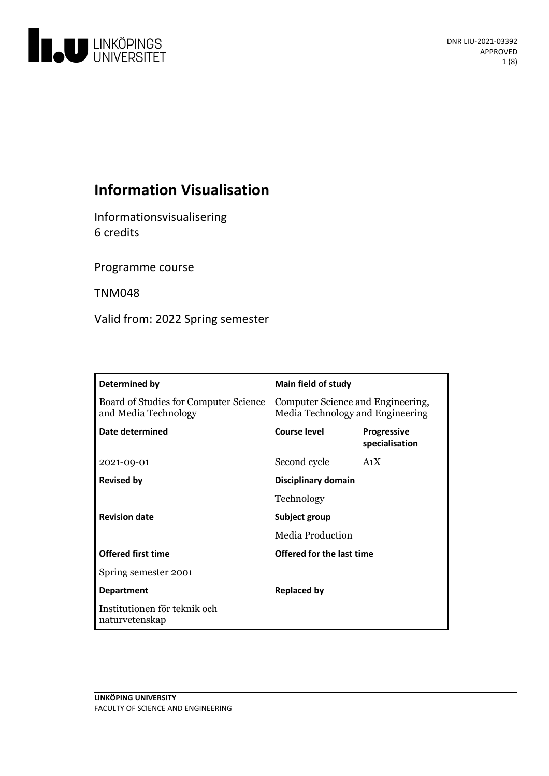

# **Information Visualisation**

Informationsvisualisering 6 credits

Programme course

TNM048

Valid from: 2022 Spring semester

| Determined by                                                 | Main field of study                                                   |                                      |
|---------------------------------------------------------------|-----------------------------------------------------------------------|--------------------------------------|
| Board of Studies for Computer Science<br>and Media Technology | Computer Science and Engineering,<br>Media Technology and Engineering |                                      |
| Date determined                                               | <b>Course level</b>                                                   | <b>Progressive</b><br>specialisation |
| 2021-09-01                                                    | Second cycle                                                          | A <sub>1</sub> X                     |
| <b>Revised by</b>                                             | Disciplinary domain                                                   |                                      |
|                                                               | Technology                                                            |                                      |
| <b>Revision date</b>                                          | Subject group                                                         |                                      |
|                                                               | Media Production                                                      |                                      |
| <b>Offered first time</b>                                     | Offered for the last time                                             |                                      |
| Spring semester 2001                                          |                                                                       |                                      |
| <b>Department</b>                                             | <b>Replaced by</b>                                                    |                                      |
| Institutionen för teknik och<br>naturvetenskap                |                                                                       |                                      |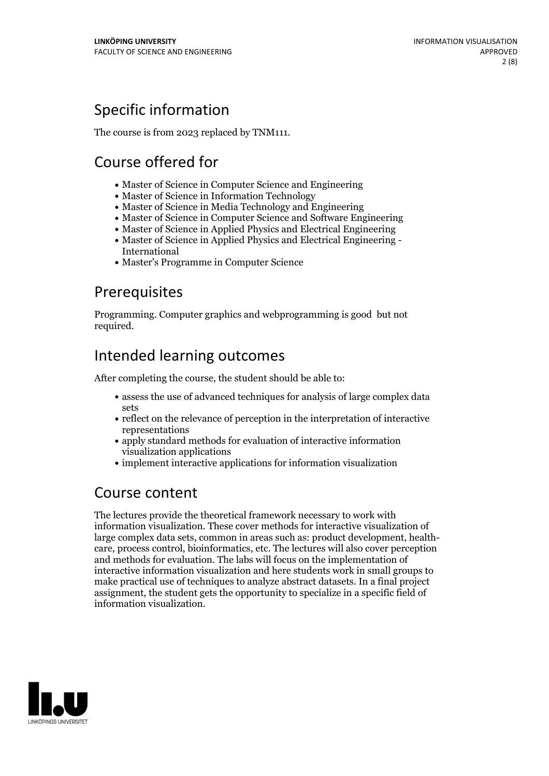# Specific information

The course is from 2023 replaced by TNM111.

# Course offered for

- Master of Science in Computer Science and Engineering
- Master of Science in Information Technology
- Master of Science in Media Technology and Engineering
- Master of Science in Computer Science and Software Engineering
- Master of Science in Applied Physics and Electrical Engineering
- Master of Science in Applied Physics and Electrical Engineering International
- Master's Programme in Computer Science

## Prerequisites

Programming. Computer graphics and webprogramming is good but not required.

# Intended learning outcomes

After completing the course, the student should be able to:

- assess the use of advanced techniques for analysis of large complex data sets
- reflect on the relevance of perception in the interpretation of interactive representations
- apply standard methods for evaluation of interactive information visualization applications
- implement interactive applications for information visualization

## Course content

The lectures provide the theoretical framework necessary to work with information visualization. These cover methods for interactive visualization of large complex data sets, common in areas such as: product development, health- care, process control, bioinformatics, etc. The lectures will also cover perception and methods for evaluation. The labs will focus on the implementation of interactive information visualization and here students work in small groups to make practical use of techniques to analyze abstract datasets. In a final project assignment, the student gets the opportunity to specialize in a specific field of information visualization.

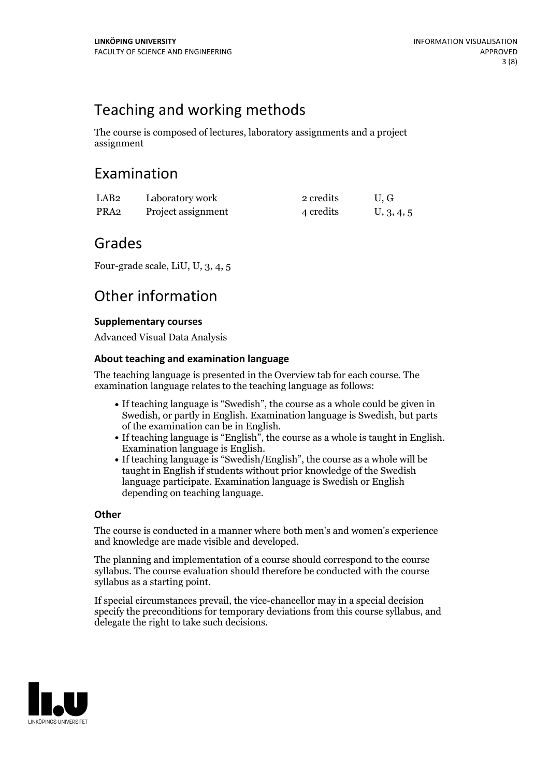## Teaching and working methods

The course is composed of lectures, laboratory assignments and a project assignment

## Examination

| LAB <sub>2</sub> | Laboratory work    | 2 credits | U.G        |
|------------------|--------------------|-----------|------------|
| PRA2             | Project assignment | 4 credits | U, 3, 4, 5 |

## Grades

Four-grade scale, LiU, U, 3, 4, 5

## Other information

## **Supplementarycourses**

Advanced Visual Data Analysis

### **About teaching and examination language**

The teaching language is presented in the Overview tab for each course. The examination language relates to the teaching language as follows:

- If teaching language is "Swedish", the course as a whole could be given in Swedish, or partly in English. Examination language is Swedish, but parts
- of the examination can be in English. If teaching language is "English", the course as <sup>a</sup> whole is taught in English. Examination language is English. If teaching language is "Swedish/English", the course as <sup>a</sup> whole will be
- taught in English if students without prior knowledge of the Swedish language participate. Examination language is Swedish or English depending on teaching language.

### **Other**

The course is conducted in a manner where both men's and women's experience and knowledge are made visible and developed.

The planning and implementation of a course should correspond to the course syllabus. The course evaluation should therefore be conducted with the course syllabus as a starting point.

If special circumstances prevail, the vice-chancellor may in a special decision specify the preconditions for temporary deviations from this course syllabus, and delegate the right to take such decisions.

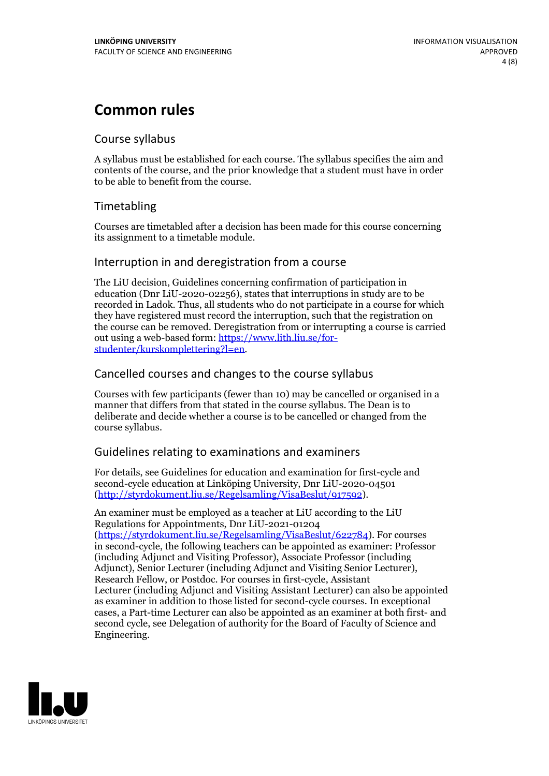## **Common rules**

### Course syllabus

A syllabus must be established for each course. The syllabus specifies the aim and contents of the course, and the prior knowledge that a student must have in order to be able to benefit from the course.

## Timetabling

Courses are timetabled after a decision has been made for this course concerning its assignment to a timetable module.

### Interruption in and deregistration from a course

The LiU decision, Guidelines concerning confirmation of participation in education (Dnr LiU-2020-02256), states that interruptions in study are to be recorded in Ladok. Thus, all students who do not participate in a course for which they have registered must record the interruption, such that the registration on the course can be removed. Deregistration from or interrupting a course is carried out using <sup>a</sup> web-based form: https://www.lith.liu.se/for- [studenter/kurskomplettering?l=en.](https://www.lith.liu.se/for-studenter/kurskomplettering?l=en)

## Cancelled courses and changes to the course syllabus

Courses with few participants (fewer than 10) may be cancelled or organised in a manner that differs from that stated in the course syllabus. The Dean is to deliberate and decide whether a course is to be cancelled or changed from the course syllabus.

## Guidelines relating to examinations and examiners

For details, see Guidelines for education and examination for first-cycle and second-cycle education at Linköping University, Dnr LiU-2020-04501 [\(http://styrdokument.liu.se/Regelsamling/VisaBeslut/917592\)](http://styrdokument.liu.se/Regelsamling/VisaBeslut/917592).

An examiner must be employed as a teacher at LiU according to the LiU Regulations for Appointments, Dnr LiU-2021-01204 [\(https://styrdokument.liu.se/Regelsamling/VisaBeslut/622784](https://styrdokument.liu.se/Regelsamling/VisaBeslut/622784)). For courses in second-cycle, the following teachers can be appointed as examiner: Professor (including Adjunct and Visiting Professor), Associate Professor (including Adjunct), Senior Lecturer (including Adjunct and Visiting Senior Lecturer), Research Fellow, or Postdoc. For courses in first-cycle, Assistant Lecturer (including Adjunct and Visiting Assistant Lecturer) can also be appointed as examiner in addition to those listed for second-cycle courses. In exceptional cases, a Part-time Lecturer can also be appointed as an examiner at both first- and second cycle, see Delegation of authority for the Board of Faculty of Science and Engineering.

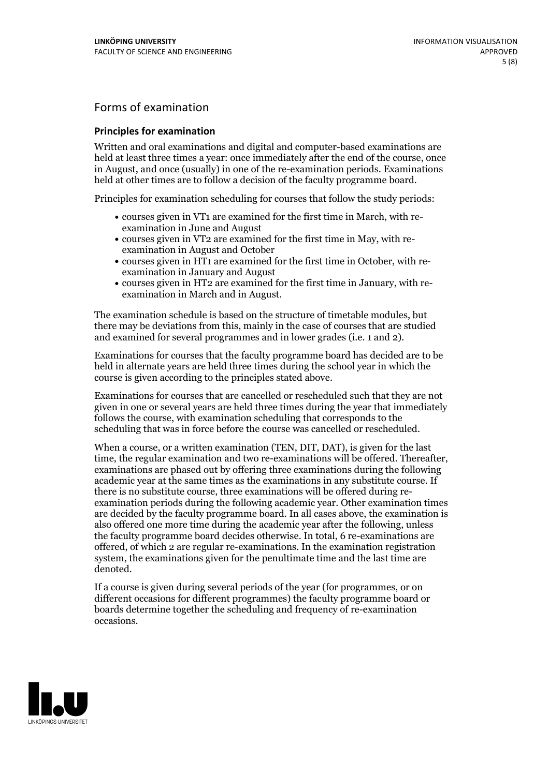## Forms of examination

#### **Principles for examination**

Written and oral examinations and digital and computer-based examinations are held at least three times a year: once immediately after the end of the course, once in August, and once (usually) in one of the re-examination periods. Examinations held at other times are to follow a decision of the faculty programme board.

Principles for examination scheduling for courses that follow the study periods:

- courses given in VT1 are examined for the first time in March, with re-examination in June and August
- courses given in VT2 are examined for the first time in May, with re-examination in August and October
- courses given in HT1 are examined for the first time in October, with re-examination in January and August
- courses given in HT2 are examined for the first time in January, with re-examination in March and in August.

The examination schedule is based on the structure of timetable modules, but there may be deviations from this, mainly in the case of courses that are studied and examined for several programmes and in lower grades (i.e. 1 and 2).

Examinations for courses that the faculty programme board has decided are to be held in alternate years are held three times during the school year in which the course is given according to the principles stated above.

Examinations for courses that are cancelled orrescheduled such that they are not given in one or several years are held three times during the year that immediately follows the course, with examination scheduling that corresponds to the scheduling that was in force before the course was cancelled or rescheduled.

When a course, or a written examination (TEN, DIT, DAT), is given for the last time, the regular examination and two re-examinations will be offered. Thereafter, examinations are phased out by offering three examinations during the following academic year at the same times as the examinations in any substitute course. If there is no substitute course, three examinations will be offered during re- examination periods during the following academic year. Other examination times are decided by the faculty programme board. In all cases above, the examination is also offered one more time during the academic year after the following, unless the faculty programme board decides otherwise. In total, 6 re-examinations are offered, of which 2 are regular re-examinations. In the examination registration system, the examinations given for the penultimate time and the last time are denoted.

If a course is given during several periods of the year (for programmes, or on different occasions for different programmes) the faculty programme board or boards determine together the scheduling and frequency of re-examination occasions.

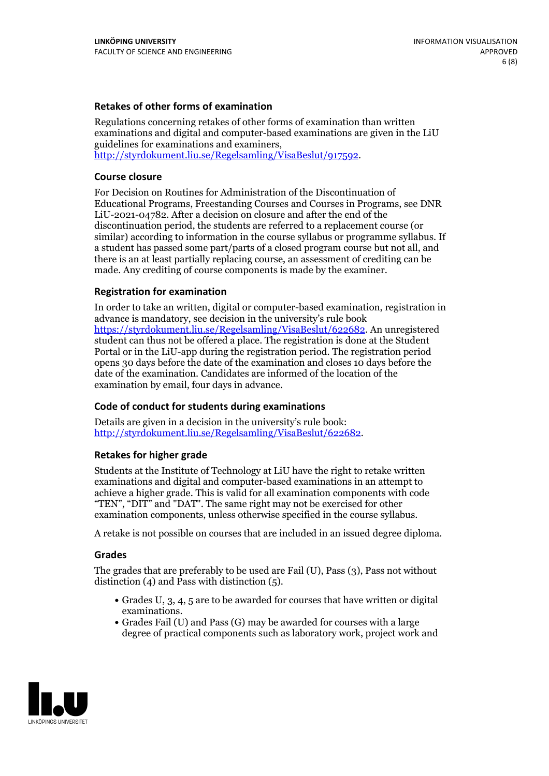### **Retakes of other forms of examination**

Regulations concerning retakes of other forms of examination than written examinations and digital and computer-based examinations are given in the LiU guidelines for examinations and examiners, [http://styrdokument.liu.se/Regelsamling/VisaBeslut/917592.](http://styrdokument.liu.se/Regelsamling/VisaBeslut/917592)

#### **Course closure**

For Decision on Routines for Administration of the Discontinuation of Educational Programs, Freestanding Courses and Courses in Programs, see DNR LiU-2021-04782. After a decision on closure and after the end of the discontinuation period, the students are referred to a replacement course (or similar) according to information in the course syllabus or programme syllabus. If a student has passed some part/parts of a closed program course but not all, and there is an at least partially replacing course, an assessment of crediting can be made. Any crediting of course components is made by the examiner.

#### **Registration for examination**

In order to take an written, digital or computer-based examination, registration in advance is mandatory, see decision in the university's rule book [https://styrdokument.liu.se/Regelsamling/VisaBeslut/622682.](https://styrdokument.liu.se/Regelsamling/VisaBeslut/622682) An unregistered student can thus not be offered a place. The registration is done at the Student Portal or in the LiU-app during the registration period. The registration period opens 30 days before the date of the examination and closes 10 days before the date of the examination. Candidates are informed of the location of the examination by email, four days in advance.

#### **Code of conduct for students during examinations**

Details are given in a decision in the university's rule book: <http://styrdokument.liu.se/Regelsamling/VisaBeslut/622682>.

#### **Retakes for higher grade**

Students at the Institute of Technology at LiU have the right to retake written examinations and digital and computer-based examinations in an attempt to achieve a higher grade. This is valid for all examination components with code "TEN", "DIT" and "DAT". The same right may not be exercised for other examination components, unless otherwise specified in the course syllabus.

A retake is not possible on courses that are included in an issued degree diploma.

#### **Grades**

The grades that are preferably to be used are Fail (U), Pass (3), Pass not without distinction  $(4)$  and Pass with distinction  $(5)$ .

- Grades U, 3, 4, 5 are to be awarded for courses that have written or digital examinations.<br>• Grades Fail (U) and Pass (G) may be awarded for courses with a large
- degree of practical components such as laboratory work, project work and

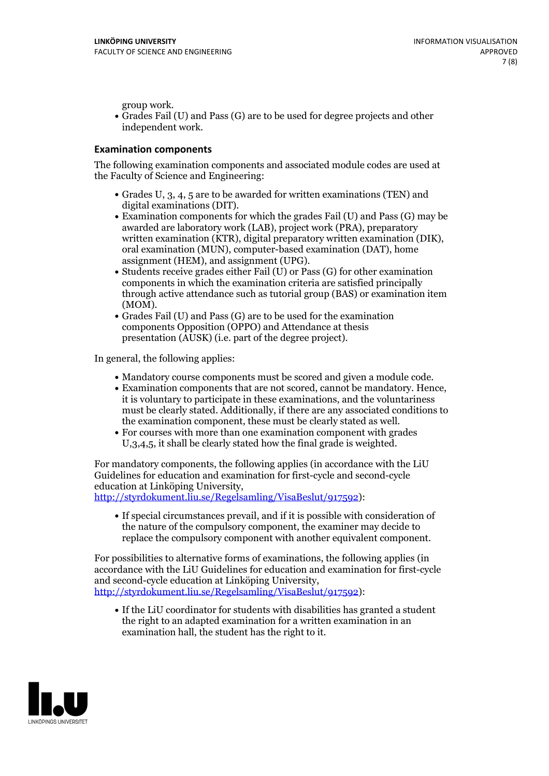group work.<br>• Grades Fail (U) and Pass (G) are to be used for degree projects and other independent work.

### **Examination components**

The following examination components and associated module codes are used at the Faculty of Science and Engineering:

- Grades U, 3, 4, 5 are to be awarded for written examinations (TEN) and
- digital examinations (DIT).<br>• Examination components for which the grades Fail (U) and Pass (G) may be awarded are laboratory work (LAB), project work (PRA), preparatory written examination (KTR), digital preparatory written examination (DIK), oral examination (MUN), computer-based examination (DAT), home
- assignment (HEM), and assignment (UPG).<br>• Students receive grades either Fail (U) or Pass (G) for other examination components in which the examination criteria are satisfied principally through active attendance such as tutorial group (BAS) or examination item
- (MOM).<br>• Grades Fail (U) and Pass (G) are to be used for the examination components Opposition (OPPO) and Attendance at thesis presentation (AUSK) (i.e. part of the degree project).

In general, the following applies:

- 
- Mandatory course components must be scored and given <sup>a</sup> module code. Examination components that are not scored, cannot be mandatory. Hence, it is voluntary to participate in these examinations, and the voluntariness must be clearly stated. Additionally, if there are any associated conditions to
- the examination component, these must be clearly stated as well.<br>• For courses with more than one examination component with grades U,3,4,5, it shall be clearly stated how the final grade is weighted.

For mandatory components, the following applies (in accordance with the LiU Guidelines for education and examination for first-cycle and second-cycle education at Linköping University,<br>[http://styrdokument.liu.se/Regelsamling/VisaBeslut/917592\)](http://styrdokument.liu.se/Regelsamling/VisaBeslut/917592):

If special circumstances prevail, and if it is possible with consideration of the nature of the compulsory component, the examiner may decide to replace the compulsory component with another equivalent component.

For possibilities to alternative forms of examinations, the following applies (in accordance with the LiU Guidelines for education and examination for first-cycle [http://styrdokument.liu.se/Regelsamling/VisaBeslut/917592\)](http://styrdokument.liu.se/Regelsamling/VisaBeslut/917592):

If the LiU coordinator for students with disabilities has granted a student the right to an adapted examination for a written examination in an examination hall, the student has the right to it.